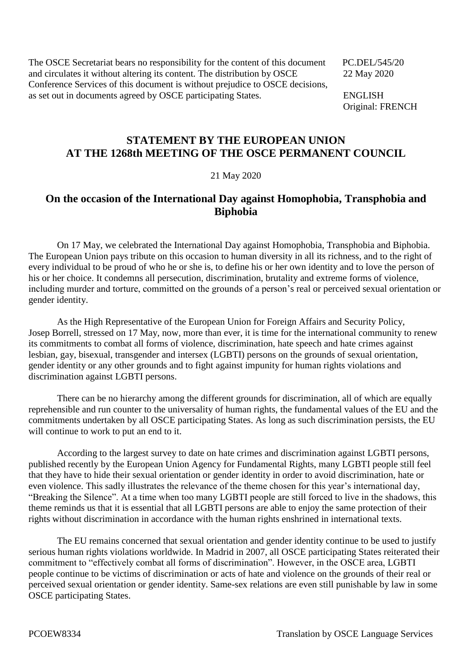The OSCE Secretariat bears no responsibility for the content of this document PC.DEL/545/20 and circulates it without altering its content. The distribution by OSCE 22 May 2020 Conference Services of this document is without prejudice to OSCE decisions, as set out in documents agreed by OSCE participating States. ENGLISH

Original: FRENCH

## **STATEMENT BY THE EUROPEAN UNION AT THE 1268th MEETING OF THE OSCE PERMANENT COUNCIL**

## 21 May 2020

## **On the occasion of the International Day against Homophobia, Transphobia and Biphobia**

On 17 May, we celebrated the International Day against Homophobia, Transphobia and Biphobia. The European Union pays tribute on this occasion to human diversity in all its richness, and to the right of every individual to be proud of who he or she is, to define his or her own identity and to love the person of his or her choice. It condemns all persecution, discrimination, brutality and extreme forms of violence, including murder and torture, committed on the grounds of a person's real or perceived sexual orientation or gender identity.

As the High Representative of the European Union for Foreign Affairs and Security Policy, Josep Borrell, stressed on 17 May, now, more than ever, it is time for the international community to renew its commitments to combat all forms of violence, discrimination, hate speech and hate crimes against lesbian, gay, bisexual, transgender and intersex (LGBTI) persons on the grounds of sexual orientation, gender identity or any other grounds and to fight against impunity for human rights violations and discrimination against LGBTI persons.

There can be no hierarchy among the different grounds for discrimination, all of which are equally reprehensible and run counter to the universality of human rights, the fundamental values of the EU and the commitments undertaken by all OSCE participating States. As long as such discrimination persists, the EU will continue to work to put an end to it.

According to the largest survey to date on hate crimes and discrimination against LGBTI persons, published recently by the European Union Agency for Fundamental Rights, many LGBTI people still feel that they have to hide their sexual orientation or gender identity in order to avoid discrimination, hate or even violence. This sadly illustrates the relevance of the theme chosen for this year's international day, "Breaking the Silence". At a time when too many LGBTI people are still forced to live in the shadows, this theme reminds us that it is essential that all LGBTI persons are able to enjoy the same protection of their rights without discrimination in accordance with the human rights enshrined in international texts.

The EU remains concerned that sexual orientation and gender identity continue to be used to justify serious human rights violations worldwide. In Madrid in 2007, all OSCE participating States reiterated their commitment to "effectively combat all forms of discrimination". However, in the OSCE area, LGBTI people continue to be victims of discrimination or acts of hate and violence on the grounds of their real or perceived sexual orientation or gender identity. Same-sex relations are even still punishable by law in some OSCE participating States.